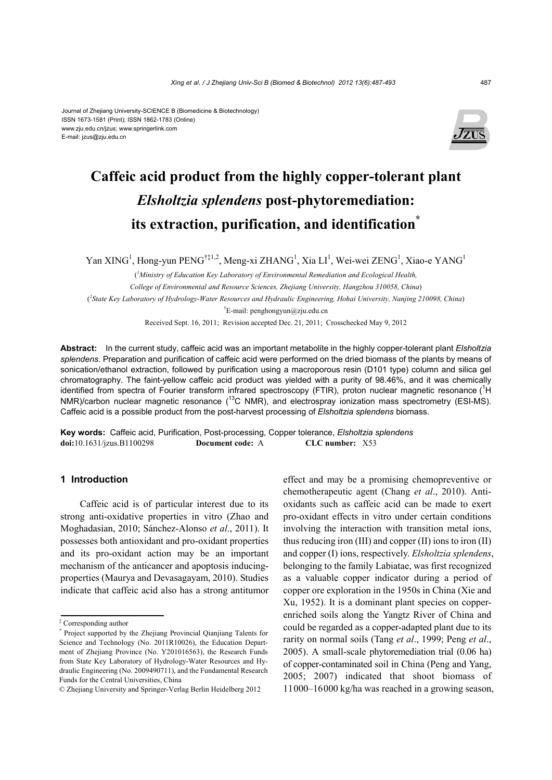#### Journal of Zhejiang University-SCIENCE B (Biomedicine & Biotechnology) ISSN 1673-1581 (Print); ISSN 1862-1783 (Online) www.zju.edu.cn/jzus; www.springerlink.com E-mail: jzus@zju.edu.cn



# **Caffeic acid product from the highly copper-tolerant plant**  *Elsholtzia splendens* **post-phytoremediation: its extraction, purification, and identification\***

Yan XING<sup>1</sup>, Hong-yun PENG<sup>†‡1,2</sup>, Meng-xi ZHANG<sup>1</sup>, Xia LI<sup>1</sup>, Wei-wei ZENG<sup>1</sup>, Xiao-e YANG<sup>1</sup>

( *1 Ministry of Education Key Laboratory of Environmental Remediation and Ecological Health, College of Environmental and Resource Sciences, Zhejiang University, Hangzhou 310058, China*) ( *2 State Key Laboratory of Hydrology-Water Resources and Hydraulic Engineering, Hohai University, Nanjing 210098, China*) <sup>†</sup>E-mail: penghongyun@zju.edu.cn

Received Sept. 16, 2011; Revision accepted Dec. 21, 2011; Crosschecked May 9, 2012

**Abstract:** In the current study, caffeic acid was an important metabolite in the highly copper-tolerant plant *Elsholtzia splendens*. Preparation and purification of caffeic acid were performed on the dried biomass of the plants by means of sonication/ethanol extraction, followed by purification using a macroporous resin (D101 type) column and silica gel chromatography. The faint-yellow caffeic acid product was yielded with a purity of 98.46%, and it was chemically identified from spectra of Fourier transform infrared spectroscopy (FTIR), proton nuclear magnetic resonance (<sup>1</sup>H NMR)/carbon nuclear magnetic resonance ( $^{13}$ C NMR), and electrospray ionization mass spectrometry (ESI-MS). Caffeic acid is a possible product from the post-harvest processing of *Elsholtzia splendens* biomass.

**Key words:** Caffeic acid, Purification, Post-processing, Copper tolerance, *Elsholtzia splendens* **doi:**10.1631/jzus.B1100298 **Document code:** A **CLC number:** X53

## **1 Introduction**

Caffeic acid is of particular interest due to its strong anti-oxidative properties in vitro (Zhao and Moghadasian, 2010; Sánchez-Alonso *et al*., 2011). It possesses both antioxidant and pro-oxidant properties and its pro-oxidant action may be an important mechanism of the anticancer and apoptosis inducingproperties (Maurya and Devasagayam, 2010). Studies indicate that caffeic acid also has a strong antitumor effect and may be a promising chemopreventive or chemotherapeutic agent (Chang *et al*., 2010). Antioxidants such as caffeic acid can be made to exert pro-oxidant effects in vitro under certain conditions involving the interaction with transition metal ions, thus reducing iron (III) and copper (II) ions to iron (II) and copper (I) ions, respectively. *Elsholtzia splendens*, belonging to the family Labiatae, was first recognized as a valuable copper indicator during a period of copper ore exploration in the 1950s in China (Xie and Xu, 1952). It is a dominant plant species on copperenriched soils along the Yangtz River of China and could be regarded as a copper-adapted plant due to its rarity on normal soils (Tang *et al*., 1999; Peng *et al*., 2005). A small-scale phytoremediation trial (0.06 ha) of copper-contaminated soil in China (Peng and Yang, 2005; 2007) indicated that shoot biomass of 11000‒16000 kg/ha was reached in a growing season,

<sup>‡</sup> Corresponding author

<sup>\*</sup> Project supported by the Zhejiang Provincial Qianjiang Talents for Science and Technology (No. 2011R10026), the Education Department of Zhejiang Province (No. Y201016563), the Research Funds from State Key Laboratory of Hydrology-Water Resources and Hydraulic Engineering (No. 2009490711), and the Fundamental Research Funds for the Central Universities, China

<sup>©</sup> Zhejiang University and Springer-Verlag Berlin Heidelberg 2012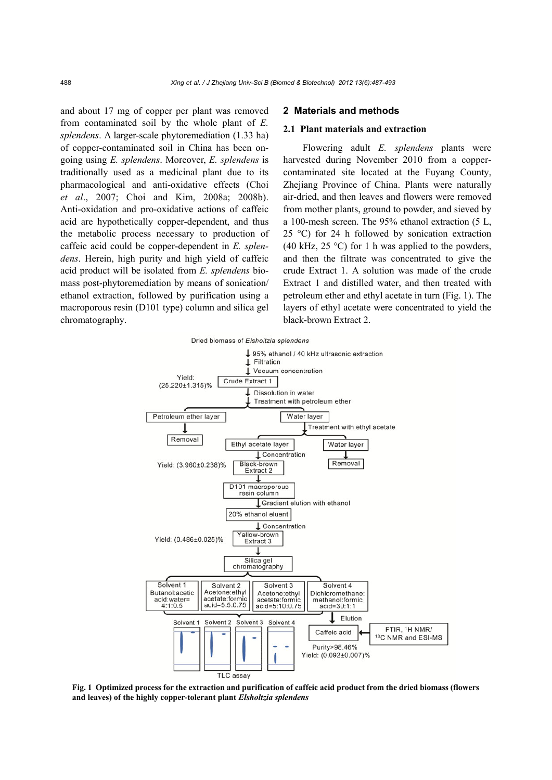and about 17 mg of copper per plant was removed from contaminated soil by the whole plant of *E. splendens*. A larger-scale phytoremediation (1.33 ha) of copper-contaminated soil in China has been ongoing using *E. splendens*. Moreover, *E. splendens* is traditionally used as a medicinal plant due to its pharmacological and anti-oxidative effects (Choi *et al*., 2007; Choi and Kim, 2008a; 2008b). Anti-oxidation and pro-oxidative actions of caffeic acid are hypothetically copper-dependent, and thus the metabolic process necessary to production of caffeic acid could be copper-dependent in *E. splendens*. Herein, high purity and high yield of caffeic acid product will be isolated from *E. splendens* biomass post-phytoremediation by means of sonication/ ethanol extraction, followed by purification using a macroporous resin (D101 type) column and silica gel chromatography.

### **2 Materials and methods**

### **2.1 Plant materials and extraction**

Flowering adult *E. splendens* plants were harvested during November 2010 from a coppercontaminated site located at the Fuyang County, Zhejiang Province of China. Plants were naturally air-dried, and then leaves and flowers were removed from mother plants, ground to powder, and sieved by a 100-mesh screen. The 95% ethanol extraction (5 L, 25 °C) for 24 h followed by sonication extraction (40 kHz, 25  $\degree$ C) for 1 h was applied to the powders, and then the filtrate was concentrated to give the crude Extract 1. A solution was made of the crude Extract 1 and distilled water, and then treated with petroleum ether and ethyl acetate in turn (Fig. 1). The layers of ethyl acetate were concentrated to yield the black-brown Extract 2.



**Fig. 1 Optimized process for the extraction and purification of caffeic acid product from the dried biomass (flowers and leaves) of the highly copper-tolerant plant** *Elsholtzia splendens*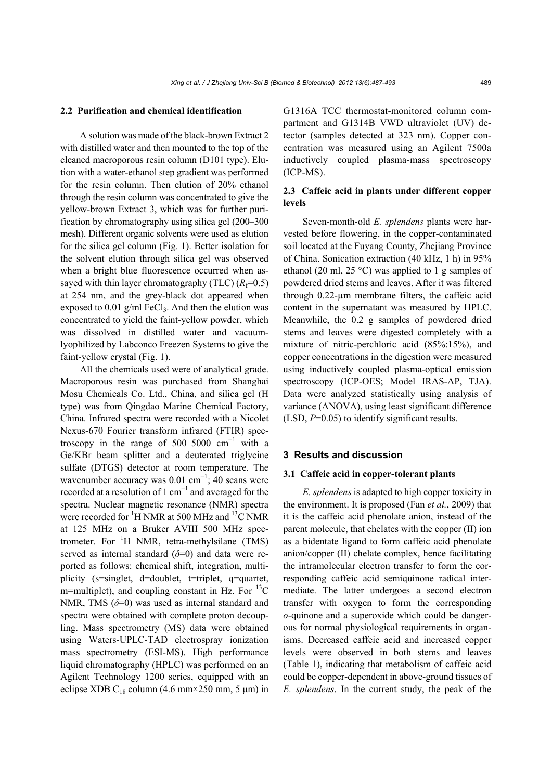## **2.2 Purification and chemical identification**

A solution was made of the black-brown Extract 2 with distilled water and then mounted to the top of the cleaned macroporous resin column (D101 type). Elution with a water-ethanol step gradient was performed for the resin column. Then elution of 20% ethanol through the resin column was concentrated to give the yellow-brown Extract 3, which was for further purification by chromatography using silica gel (200‒300 mesh). Different organic solvents were used as elution for the silica gel column (Fig. 1). Better isolation for the solvent elution through silica gel was observed when a bright blue fluorescence occurred when assayed with thin layer chromatography (TLC)  $(R_f=0.5)$ at 254 nm, and the grey-black dot appeared when exposed to  $0.01$  g/ml FeCl<sub>3</sub>. And then the elution was concentrated to yield the faint-yellow powder, which was dissolved in distilled water and vacuumlyophilized by Labconco Freezen Systems to give the faint-yellow crystal (Fig. 1).

All the chemicals used were of analytical grade. Macroporous resin was purchased from Shanghai Mosu Chemicals Co. Ltd., China, and silica gel (H type) was from Qingdao Marine Chemical Factory, China. Infrared spectra were recorded with a Nicolet Nexus-670 Fourier transform infrared (FTIR) spectroscopy in the range of  $500-5000$  cm<sup>-1</sup> with a Ge/KBr beam splitter and a deuterated triglycine sulfate (DTGS) detector at room temperature. The wavenumber accuracy was  $0.01 \text{ cm}^{-1}$ ; 40 scans were recorded at a resolution of 1 cm<sup>-1</sup> and averaged for the spectra. Nuclear magnetic resonance (NMR) spectra were recorded for  ${}^{1}$ H NMR at 500 MHz and  ${}^{13}$ C NMR at 125 MHz on a Bruker AVIII 500 MHz spectrometer. For  ${}^{1}H$  NMR, tetra-methylsilane (TMS) served as internal standard (*δ*=0) and data were reported as follows: chemical shift, integration, multiplicity (s=singlet, d=doublet, t=triplet, q=quartet, m=multiplet), and coupling constant in Hz. For  $^{13}$ C NMR, TMS (*δ*=0) was used as internal standard and spectra were obtained with complete proton decoupling. Mass spectrometry (MS) data were obtained using Waters-UPLC-TAD electrospray ionization mass spectrometry (ESI-MS). High performance liquid chromatography (HPLC) was performed on an Agilent Technology 1200 series, equipped with an eclipse XDB  $C_{18}$  column (4.6 mm×250 mm, 5 µm) in

G1316A TCC thermostat-monitored column compartment and G1314B VWD ultraviolet (UV) detector (samples detected at 323 nm). Copper concentration was measured using an Agilent 7500a inductively coupled plasma-mass spectroscopy (ICP-MS).

# **2.3 Caffeic acid in plants under different copper levels**

Seven-month-old *E. splendens* plants were harvested before flowering, in the copper-contaminated soil located at the Fuyang County, Zhejiang Province of China. Sonication extraction (40 kHz, 1 h) in 95% ethanol (20 ml, 25 °C) was applied to 1 g samples of powdered dried stems and leaves. After it was filtered through 0.22-µm membrane filters, the caffeic acid content in the supernatant was measured by HPLC. Meanwhile, the 0.2 g samples of powdered dried stems and leaves were digested completely with a mixture of nitric-perchloric acid (85%:15%), and copper concentrations in the digestion were measured using inductively coupled plasma-optical emission spectroscopy (ICP-OES; Model IRAS-AP, TJA). Data were analyzed statistically using analysis of variance (ANOVA), using least significant difference (LSD, *P*=0.05) to identify significant results.

## **3 Results and discussion**

## **3.1 Caffeic acid in copper-tolerant plants**

*E. splendens* is adapted to high copper toxicity in the environment. It is proposed (Fan *et al.*, 2009) that it is the caffeic acid phenolate anion, instead of the parent molecule, that chelates with the copper (II) ion as a bidentate ligand to form caffeic acid phenolate anion/copper (II) chelate complex, hence facilitating the intramolecular electron transfer to form the corresponding caffeic acid semiquinone radical intermediate. The latter undergoes a second electron transfer with oxygen to form the corresponding *o*-quinone and a superoxide which could be dangerous for normal physiological requirements in organisms. Decreased caffeic acid and increased copper levels were observed in both stems and leaves (Table 1), indicating that metabolism of caffeic acid could be copper-dependent in above-ground tissues of *E. splendens*. In the current study, the peak of the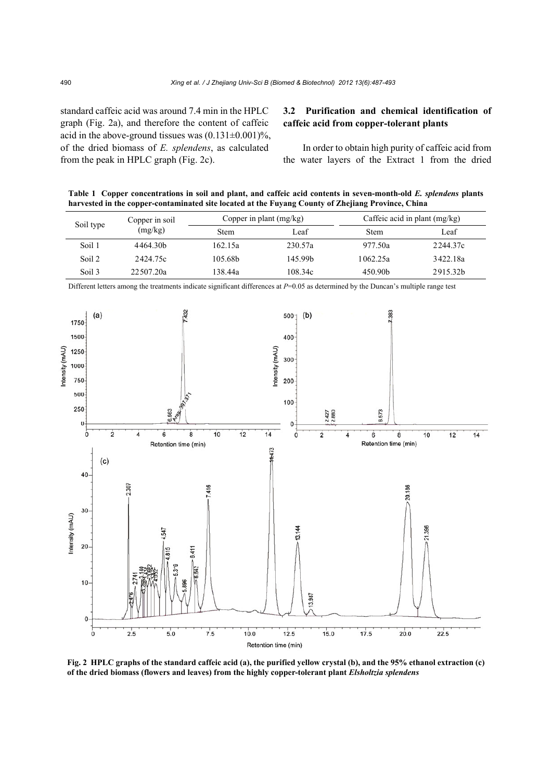standard caffeic acid was around 7.4 min in the HPLC graph (Fig. 2a), and therefore the content of caffeic acid in the above-ground tissues was  $(0.131 \pm 0.001)\%$ , of the dried biomass of *E. splendens*, as calculated from the peak in HPLC graph (Fig. 2c).

# **3.2 Purification and chemical identification of caffeic acid from copper-tolerant plants**

In order to obtain high purity of caffeic acid from the water layers of the Extract 1 from the dried

**Table 1 Copper concentrations in soil and plant, and caffeic acid contents in seven-month-old** *E. splendens* **plants harvested in the copper-contaminated site located at the Fuyang County of Zhejiang Province, China**

| Soil type | Copper in soil<br>(mg/kg) | Copper in plant $(mg/kg)$ |         | Caffeic acid in plant $(mg/kg)$ |          |
|-----------|---------------------------|---------------------------|---------|---------------------------------|----------|
|           |                           | <b>Stem</b>               | i eaf   | <b>Stem</b>                     | Leaf     |
| Soil 1    | 4464.30b                  | 162.15a                   | 230.57a | 977.50a                         | 2244.37c |
| Soil 2    | 2424.75c                  | 105.68b                   | 145.99b | 1062.25a                        | 3422.18a |
| Soil 3    | 22.507.20a                | 138.44a                   | 108.34c | 450.90 <sub>b</sub>             | 2915.32b |



Different letters among the treatments indicate significant differences at *P*=0.05 as determined by the Duncan's multiple range test

**Fig. 2 HPLC graphs of the standard caffeic acid (a), the purified yellow crystal (b), and the 95% ethanol extraction (c) of the dried biomass (flowers and leaves) from the highly copper-tolerant plant** *Elsholtzia splendens*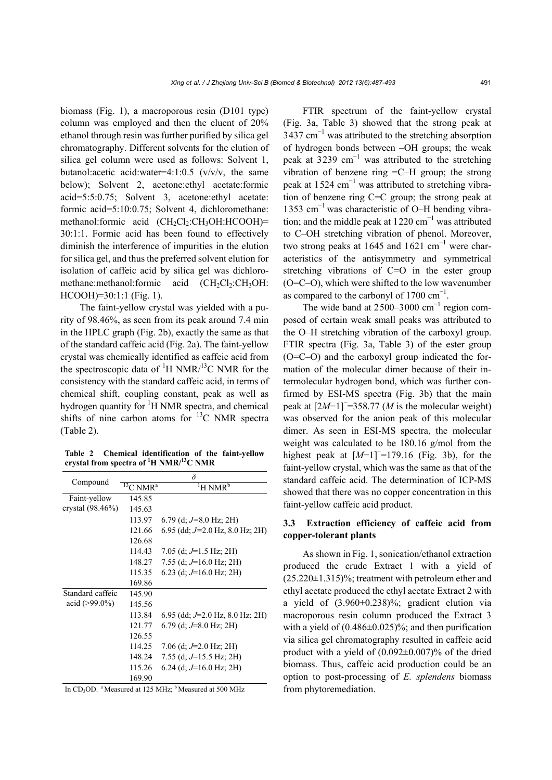biomass (Fig. 1), a macroporous resin (D101 type) column was employed and then the eluent of 20% ethanol through resin was further purified by silica gel chromatography. Different solvents for the elution of silica gel column were used as follows: Solvent 1, butanol:acetic acid:water=4:1:0.5 (v/v/v, the same below); Solvent 2, acetone:ethyl acetate:formic acid=5:5:0.75; Solvent 3, acetone:ethyl acetate: formic acid=5:10:0.75; Solvent 4, dichloromethane: methanol:formic acid  $(CH_2Cl_2:CH_3OH.HCOOH)$ = 30:1:1. Formic acid has been found to effectively diminish the interference of impurities in the elution for silica gel, and thus the preferred solvent elution for isolation of caffeic acid by silica gel was dichloromethane:methanol:formic acid  $(CH_2Cl_2:CH_3OH:$ HCOOH)=30:1:1 (Fig. 1).

The faint-yellow crystal was yielded with a purity of 98.46%, as seen from its peak around 7.4 min in the HPLC graph (Fig. 2b), exactly the same as that of the standard caffeic acid (Fig. 2a). The faint-yellow crystal was chemically identified as caffeic acid from the spectroscopic data of  $\rm{^1H}$  NMR/ $\rm{^{13}C}$  NMR for the consistency with the standard caffeic acid, in terms of chemical shift, coupling constant, peak as well as hydrogen quantity for <sup>1</sup>H NMR spectra, and chemical shifts of nine carbon atoms for  $^{13}$ C NMR spectra (Table 2).

**Table 2 Chemical identification of the faint-yellow crystal from spectra of 1 H NMR/13C NMR**

|                     | δ                       |                                          |  |  |
|---------------------|-------------------------|------------------------------------------|--|--|
| Compound            | $13$ C NMR <sup>a</sup> | $\mathrm{^{1}H}$ NMR <sup>b</sup>        |  |  |
| Faint-yellow        | 145.85                  |                                          |  |  |
| crystal $(98.46\%)$ | 145.63                  |                                          |  |  |
|                     | 113.97                  | 6.79 (d; $J=8.0$ Hz; 2H)                 |  |  |
|                     | 121.66                  | 6.95 (dd; $J=2.0$ Hz, 8.0 Hz; 2H)        |  |  |
|                     | 126.68                  |                                          |  |  |
|                     | 114.43                  | 7.05 (d; $J=1.5$ Hz; 2H)                 |  |  |
|                     | 148.27                  | 7.55 (d; $J=16.0$ Hz; 2H)                |  |  |
|                     | 115.35                  | 6.23 (d; $J=16.0$ Hz; 2H)                |  |  |
|                     | 169.86                  |                                          |  |  |
| Standard caffeic    | 145.90                  |                                          |  |  |
| acid $(>99.0\%)$    | 145.56                  |                                          |  |  |
|                     | 113.84                  | $6.95$ (dd; $J=2.0$ Hz, $8.0$ Hz; $2H$ ) |  |  |
|                     | 121.77                  | $6.79$ (d; $J=8.0$ Hz; 2H)               |  |  |
|                     | 126.55                  |                                          |  |  |
|                     | 114.25                  | 7.06 (d; $J=2.0$ Hz; 2H)                 |  |  |
|                     | 148.24                  | 7.55 (d; $J=15.5$ Hz; 2H)                |  |  |
|                     | 115.26                  | 6.24 (d; $J=16.0$ Hz; 2H)                |  |  |
|                     | 169.90                  |                                          |  |  |

In CD<sub>3</sub>OD. <sup>a</sup> Measured at 125 MHz; <sup>b</sup> Measured at 500 MHz

FTIR spectrum of the faint-yellow crystal (Fig. 3a, Table 3) showed that the strong peak at  $3437 \text{ cm}^{-1}$  was attributed to the stretching absorption of hydrogen bonds between ‒OH groups; the weak peak at 3239  $cm^{-1}$  was attributed to the stretching vibration of benzene ring  $=$ C $-$ H group; the strong peak at  $1524 \text{ cm}^{-1}$  was attributed to stretching vibration of benzene ring C=C group; the strong peak at 1353 cm<sup> $-1$ </sup> was characteristic of O–H bending vibration; and the middle peak at  $1220 \text{ cm}^{-1}$  was attributed to C–OH stretching vibration of phenol. Moreover, two strong peaks at 1645 and 1621  $\text{cm}^{-1}$  were characteristics of the antisymmetry and symmetrical stretching vibrations of C=O in the ester group  $(O=CO)$ , which were shifted to the low wavenumber as compared to the carbonyl of 1700  $\text{cm}^{-1}$ .

The wide band at  $2500-3000$  cm<sup>-1</sup> region composed of certain weak small peaks was attributed to the O‒H stretching vibration of the carboxyl group. FTIR spectra (Fig. 3a, Table 3) of the ester group  $(O=CO)$  and the carboxyl group indicated the formation of the molecular dimer because of their intermolecular hydrogen bond, which was further confirmed by ESI-MS spectra (Fig. 3b) that the main peak at  $[2M-1]$ <sup>-</sup>=358.77 (*M* is the molecular weight) was observed for the anion peak of this molecular dimer. As seen in ESI-MS spectra, the molecular weight was calculated to be 180.16 g/mol from the highest peak at  $[M-1]$ <sup> $=$ </sup> 179.16 (Fig. 3b), for the faint-yellow crystal, which was the same as that of the standard caffeic acid. The determination of ICP-MS showed that there was no copper concentration in this faint-yellow caffeic acid product.

# **3.3 Extraction efficiency of caffeic acid from copper-tolerant plants**

As shown in Fig. 1, sonication/ethanol extraction produced the crude Extract 1 with a yield of  $(25.220\pm1.315)\%$ ; treatment with petroleum ether and ethyl acetate produced the ethyl acetate Extract 2 with a yield of  $(3.960\pm0.238)\%$ ; gradient elution via macroporous resin column produced the Extract 3 with a yield of  $(0.486 \pm 0.025)\%$ ; and then purification via silica gel chromatography resulted in caffeic acid product with a yield of  $(0.092\pm0.007)\%$  of the dried biomass. Thus, caffeic acid production could be an option to post-processing of *E. splendens* biomass from phytoremediation.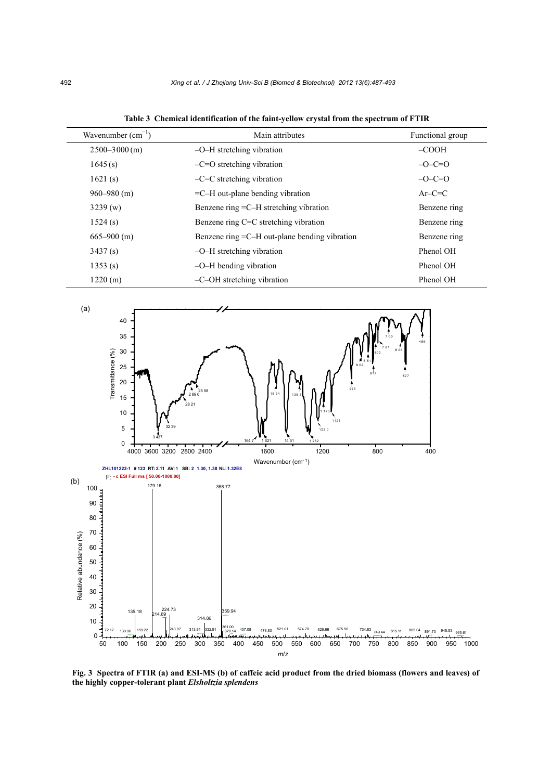| Wavenumber $(cm^{-1})$ | Main attributes                                      | Functional group |
|------------------------|------------------------------------------------------|------------------|
| $2500 - 3000$ (m)      | $-O-H$ stretching vibration                          | $-COOH$          |
| 1645(s)                | $-C=O$ stretching vibration                          | $-O-C=O$         |
| 1621(s)                | $-C=C$ stretching vibration                          | $-C=O$           |
| $960 - 980$ (m)        | $=$ C $-$ H out-plane bending vibration              | $Ar-C=C$         |
| 3239(w)                | Benzene ring $=C-H$ stretching vibration             | Benzene ring     |
| 1524(s)                | Benzene ring C=C stretching vibration                | Benzene ring     |
| $665 - 900$ (m)        | Benzene ring $=$ C $-$ H out-plane bending vibration | Benzene ring     |
| 3437(s)                | $-O-H$ stretching vibration                          | Phenol OH        |
| 1353(s)                | $-O$ –H bending vibration                            | Phenol OH        |
| 1220(m)                | $-C$ – $OH$ stretching vibration                     | Phenol OH        |

**Table 3 Chemical identification of the faint-yellow crystal from the spectrum of FTIR**



*m*/*z*

**Fig. 3 Spectra of FTIR (a) and ESI-MS (b) of caffeic acid product from the dried biomass (flowers and leaves) of**